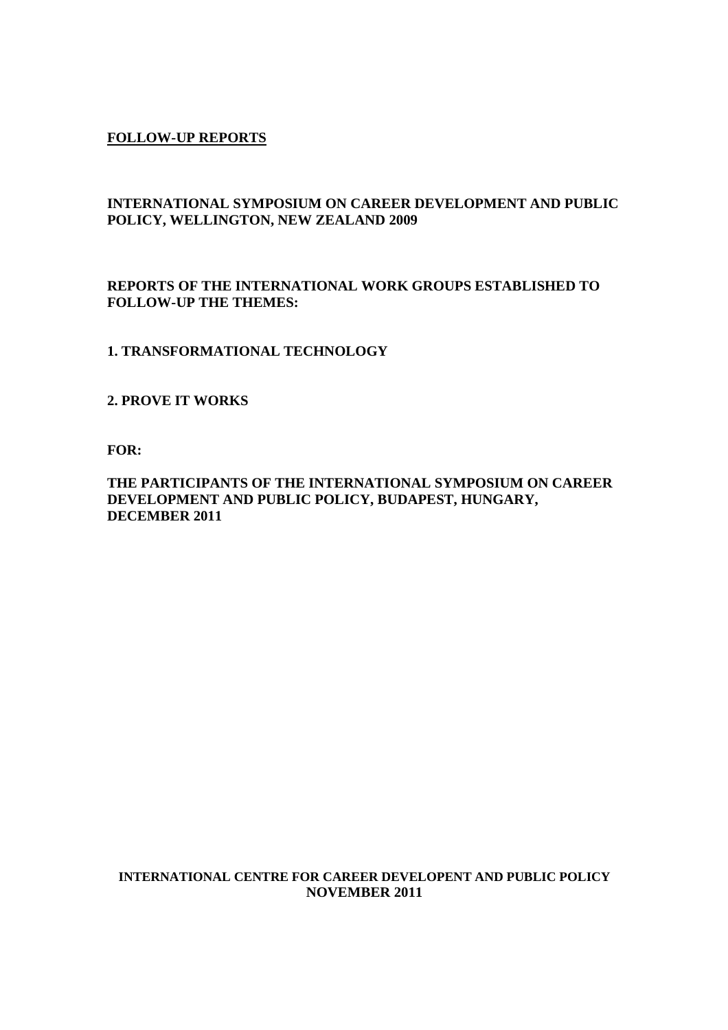# **FOLLOW-UP REPORTS**

# **INTERNATIONAL SYMPOSIUM ON CAREER DEVELOPMENT AND PUBLIC POLICY, WELLINGTON, NEW ZEALAND 2009**

# **REPORTS OF THE INTERNATIONAL WORK GROUPS ESTABLISHED TO FOLLOW-UP THE THEMES:**

## **1. TRANSFORMATIONAL TECHNOLOGY**

## **2. PROVE IT WORKS**

**FOR:** 

# **THE PARTICIPANTS OF THE INTERNATIONAL SYMPOSIUM ON CAREER DEVELOPMENT AND PUBLIC POLICY, BUDAPEST, HUNGARY, DECEMBER 2011**

#### **INTERNATIONAL CENTRE FOR CAREER DEVELOPENT AND PUBLIC POLICY NOVEMBER 2011**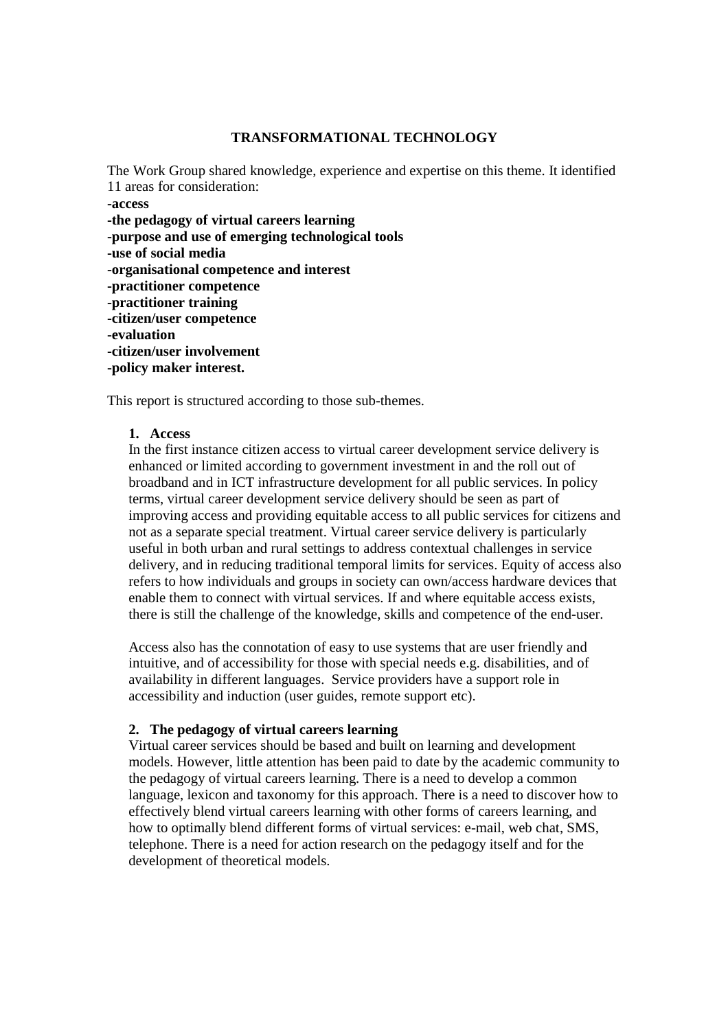## **TRANSFORMATIONAL TECHNOLOGY**

The Work Group shared knowledge, experience and expertise on this theme. It identified 11 areas for consideration: **-access -the pedagogy of virtual careers learning -purpose and use of emerging technological tools -use of social media -organisational competence and interest -practitioner competence -practitioner training -citizen/user competence -evaluation -citizen/user involvement -policy maker interest.** 

This report is structured according to those sub-themes.

## **1. Access**

In the first instance citizen access to virtual career development service delivery is enhanced or limited according to government investment in and the roll out of broadband and in ICT infrastructure development for all public services. In policy terms, virtual career development service delivery should be seen as part of improving access and providing equitable access to all public services for citizens and not as a separate special treatment. Virtual career service delivery is particularly useful in both urban and rural settings to address contextual challenges in service delivery, and in reducing traditional temporal limits for services. Equity of access also refers to how individuals and groups in society can own/access hardware devices that enable them to connect with virtual services. If and where equitable access exists, there is still the challenge of the knowledge, skills and competence of the end-user.

Access also has the connotation of easy to use systems that are user friendly and intuitive, and of accessibility for those with special needs e.g. disabilities, and of availability in different languages. Service providers have a support role in accessibility and induction (user guides, remote support etc).

# **2. The pedagogy of virtual careers learning**

Virtual career services should be based and built on learning and development models. However, little attention has been paid to date by the academic community to the pedagogy of virtual careers learning. There is a need to develop a common language, lexicon and taxonomy for this approach. There is a need to discover how to effectively blend virtual careers learning with other forms of careers learning, and how to optimally blend different forms of virtual services: e-mail, web chat, SMS, telephone. There is a need for action research on the pedagogy itself and for the development of theoretical models.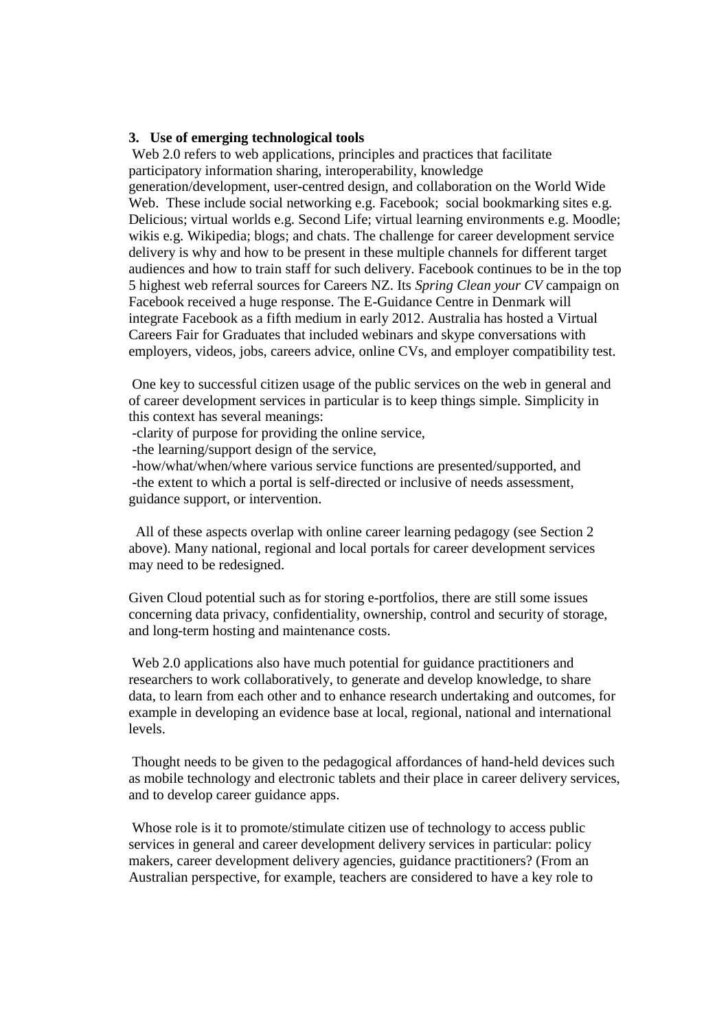#### **3. Use of emerging technological tools**

Web 2.0 refers to web applications, principles and practices that facilitate participatory information sharing, interoperability, knowledge generation/development, user-centred design, and collaboration on the World Wide Web. These include social networking e.g. Facebook; social bookmarking sites e.g. Delicious; virtual worlds e.g. Second Life; virtual learning environments e.g. Moodle; wikis e.g. Wikipedia; blogs; and chats. The challenge for career development service delivery is why and how to be present in these multiple channels for different target audiences and how to train staff for such delivery. Facebook continues to be in the top 5 highest web referral sources for Careers NZ. Its *Spring Clean your CV* campaign on Facebook received a huge response. The E-Guidance Centre in Denmark will integrate Facebook as a fifth medium in early 2012. Australia has hosted a Virtual Careers Fair for Graduates that included webinars and skype conversations with employers, videos, jobs, careers advice, online CVs, and employer compatibility test.

One key to successful citizen usage of the public services on the web in general and of career development services in particular is to keep things simple. Simplicity in this context has several meanings:

-clarity of purpose for providing the online service,

-the learning/support design of the service,

-how/what/when/where various service functions are presented/supported, and -the extent to which a portal is self-directed or inclusive of needs assessment, guidance support, or intervention.

 All of these aspects overlap with online career learning pedagogy (see Section 2 above). Many national, regional and local portals for career development services may need to be redesigned.

Given Cloud potential such as for storing e-portfolios, there are still some issues concerning data privacy, confidentiality, ownership, control and security of storage, and long-term hosting and maintenance costs.

Web 2.0 applications also have much potential for guidance practitioners and researchers to work collaboratively, to generate and develop knowledge, to share data, to learn from each other and to enhance research undertaking and outcomes, for example in developing an evidence base at local, regional, national and international levels.

Thought needs to be given to the pedagogical affordances of hand-held devices such as mobile technology and electronic tablets and their place in career delivery services, and to develop career guidance apps.

Whose role is it to promote/stimulate citizen use of technology to access public services in general and career development delivery services in particular: policy makers, career development delivery agencies, guidance practitioners? (From an Australian perspective, for example, teachers are considered to have a key role to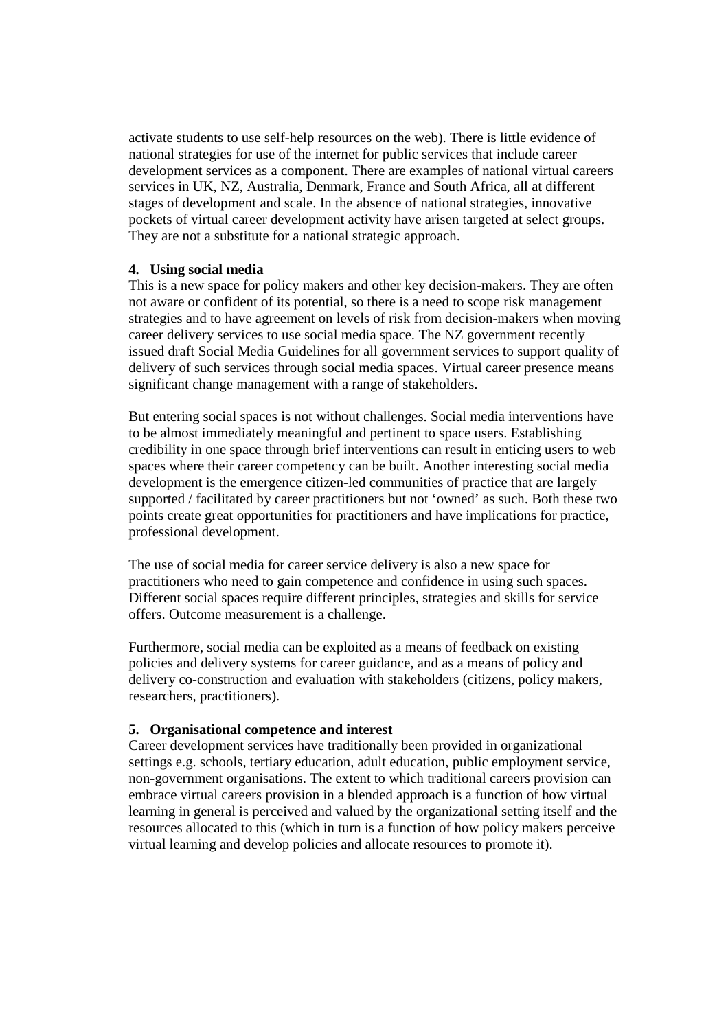activate students to use self-help resources on the web). There is little evidence of national strategies for use of the internet for public services that include career development services as a component. There are examples of national virtual careers services in UK, NZ, Australia, Denmark, France and South Africa, all at different stages of development and scale. In the absence of national strategies, innovative pockets of virtual career development activity have arisen targeted at select groups. They are not a substitute for a national strategic approach.

## **4. Using social media**

This is a new space for policy makers and other key decision-makers. They are often not aware or confident of its potential, so there is a need to scope risk management strategies and to have agreement on levels of risk from decision-makers when moving career delivery services to use social media space. The NZ government recently issued draft Social Media Guidelines for all government services to support quality of delivery of such services through social media spaces. Virtual career presence means significant change management with a range of stakeholders.

But entering social spaces is not without challenges. Social media interventions have to be almost immediately meaningful and pertinent to space users. Establishing credibility in one space through brief interventions can result in enticing users to web spaces where their career competency can be built. Another interesting social media development is the emergence citizen-led communities of practice that are largely supported / facilitated by career practitioners but not 'owned' as such. Both these two points create great opportunities for practitioners and have implications for practice, professional development.

The use of social media for career service delivery is also a new space for practitioners who need to gain competence and confidence in using such spaces. Different social spaces require different principles, strategies and skills for service offers. Outcome measurement is a challenge.

Furthermore, social media can be exploited as a means of feedback on existing policies and delivery systems for career guidance, and as a means of policy and delivery co-construction and evaluation with stakeholders (citizens, policy makers, researchers, practitioners).

# **5. Organisational competence and interest**

Career development services have traditionally been provided in organizational settings e.g. schools, tertiary education, adult education, public employment service, non-government organisations. The extent to which traditional careers provision can embrace virtual careers provision in a blended approach is a function of how virtual learning in general is perceived and valued by the organizational setting itself and the resources allocated to this (which in turn is a function of how policy makers perceive virtual learning and develop policies and allocate resources to promote it).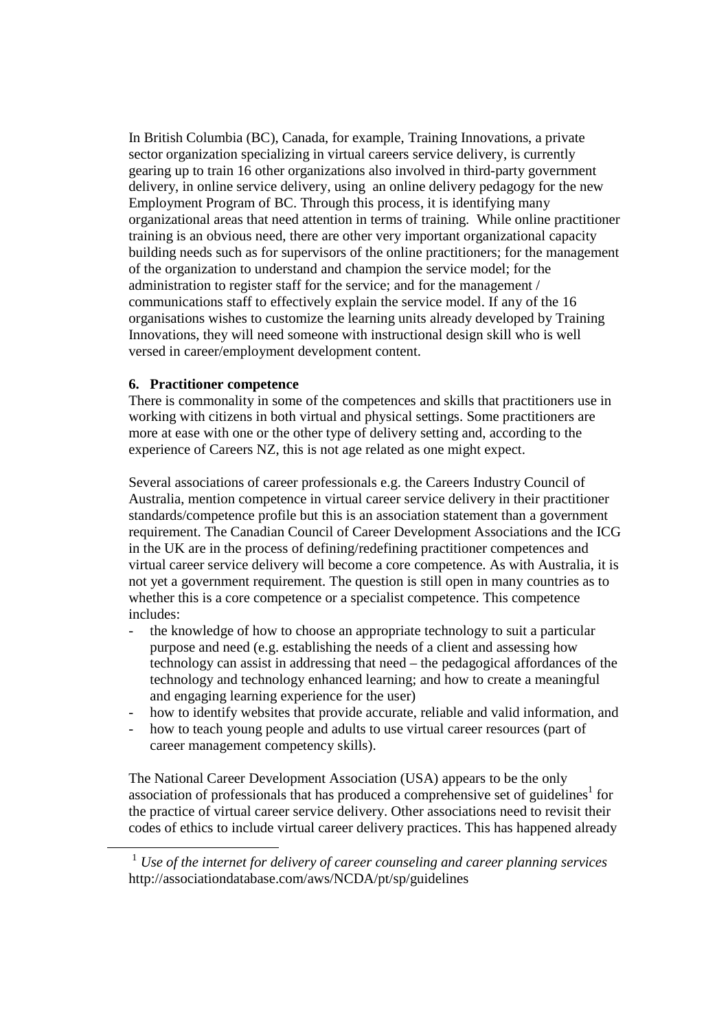In British Columbia (BC), Canada, for example, Training Innovations, a private sector organization specializing in virtual careers service delivery, is currently gearing up to train 16 other organizations also involved in third-party government delivery, in online service delivery, using an online delivery pedagogy for the new Employment Program of BC. Through this process, it is identifying many organizational areas that need attention in terms of training. While online practitioner training is an obvious need, there are other very important organizational capacity building needs such as for supervisors of the online practitioners; for the management of the organization to understand and champion the service model; for the administration to register staff for the service; and for the management / communications staff to effectively explain the service model. If any of the 16 organisations wishes to customize the learning units already developed by Training Innovations, they will need someone with instructional design skill who is well versed in career/employment development content.

## **6. Practitioner competence**

-

There is commonality in some of the competences and skills that practitioners use in working with citizens in both virtual and physical settings. Some practitioners are more at ease with one or the other type of delivery setting and, according to the experience of Careers NZ, this is not age related as one might expect.

Several associations of career professionals e.g. the Careers Industry Council of Australia, mention competence in virtual career service delivery in their practitioner standards/competence profile but this is an association statement than a government requirement. The Canadian Council of Career Development Associations and the ICG in the UK are in the process of defining/redefining practitioner competences and virtual career service delivery will become a core competence. As with Australia, it is not yet a government requirement. The question is still open in many countries as to whether this is a core competence or a specialist competence. This competence includes:

- the knowledge of how to choose an appropriate technology to suit a particular purpose and need (e.g. establishing the needs of a client and assessing how technology can assist in addressing that need – the pedagogical affordances of the technology and technology enhanced learning; and how to create a meaningful and engaging learning experience for the user)
- how to identify websites that provide accurate, reliable and valid information, and
- how to teach young people and adults to use virtual career resources (part of career management competency skills).

The National Career Development Association (USA) appears to be the only association of professionals that has produced a comprehensive set of guidelines<sup>1</sup> for the practice of virtual career service delivery. Other associations need to revisit their codes of ethics to include virtual career delivery practices. This has happened already

<sup>1</sup> *Use of the internet for delivery of career counseling and career planning services* http://associationdatabase.com/aws/NCDA/pt/sp/guidelines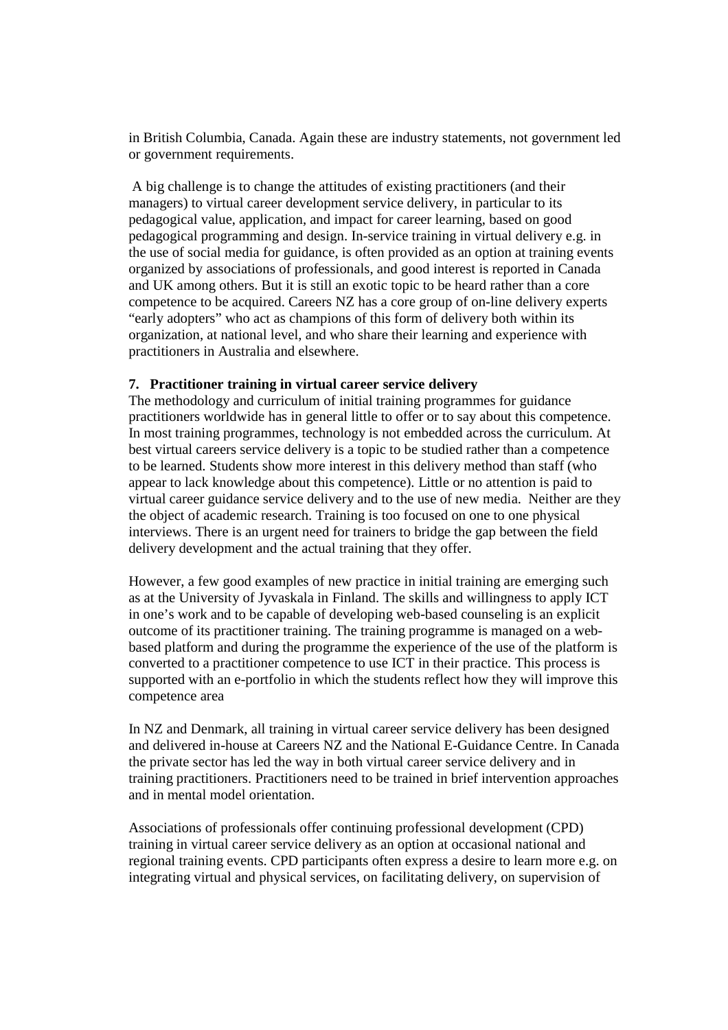in British Columbia, Canada. Again these are industry statements, not government led or government requirements.

A big challenge is to change the attitudes of existing practitioners (and their managers) to virtual career development service delivery, in particular to its pedagogical value, application, and impact for career learning, based on good pedagogical programming and design. In-service training in virtual delivery e.g. in the use of social media for guidance, is often provided as an option at training events organized by associations of professionals, and good interest is reported in Canada and UK among others. But it is still an exotic topic to be heard rather than a core competence to be acquired. Careers NZ has a core group of on-line delivery experts "early adopters" who act as champions of this form of delivery both within its organization, at national level, and who share their learning and experience with practitioners in Australia and elsewhere.

## **7. Practitioner training in virtual career service delivery**

The methodology and curriculum of initial training programmes for guidance practitioners worldwide has in general little to offer or to say about this competence. In most training programmes, technology is not embedded across the curriculum. At best virtual careers service delivery is a topic to be studied rather than a competence to be learned. Students show more interest in this delivery method than staff (who appear to lack knowledge about this competence). Little or no attention is paid to virtual career guidance service delivery and to the use of new media. Neither are they the object of academic research. Training is too focused on one to one physical interviews. There is an urgent need for trainers to bridge the gap between the field delivery development and the actual training that they offer.

However, a few good examples of new practice in initial training are emerging such as at the University of Jyvaskala in Finland. The skills and willingness to apply ICT in one's work and to be capable of developing web-based counseling is an explicit outcome of its practitioner training. The training programme is managed on a webbased platform and during the programme the experience of the use of the platform is converted to a practitioner competence to use ICT in their practice. This process is supported with an e-portfolio in which the students reflect how they will improve this competence area

In NZ and Denmark, all training in virtual career service delivery has been designed and delivered in-house at Careers NZ and the National E-Guidance Centre. In Canada the private sector has led the way in both virtual career service delivery and in training practitioners. Practitioners need to be trained in brief intervention approaches and in mental model orientation.

Associations of professionals offer continuing professional development (CPD) training in virtual career service delivery as an option at occasional national and regional training events. CPD participants often express a desire to learn more e.g. on integrating virtual and physical services, on facilitating delivery, on supervision of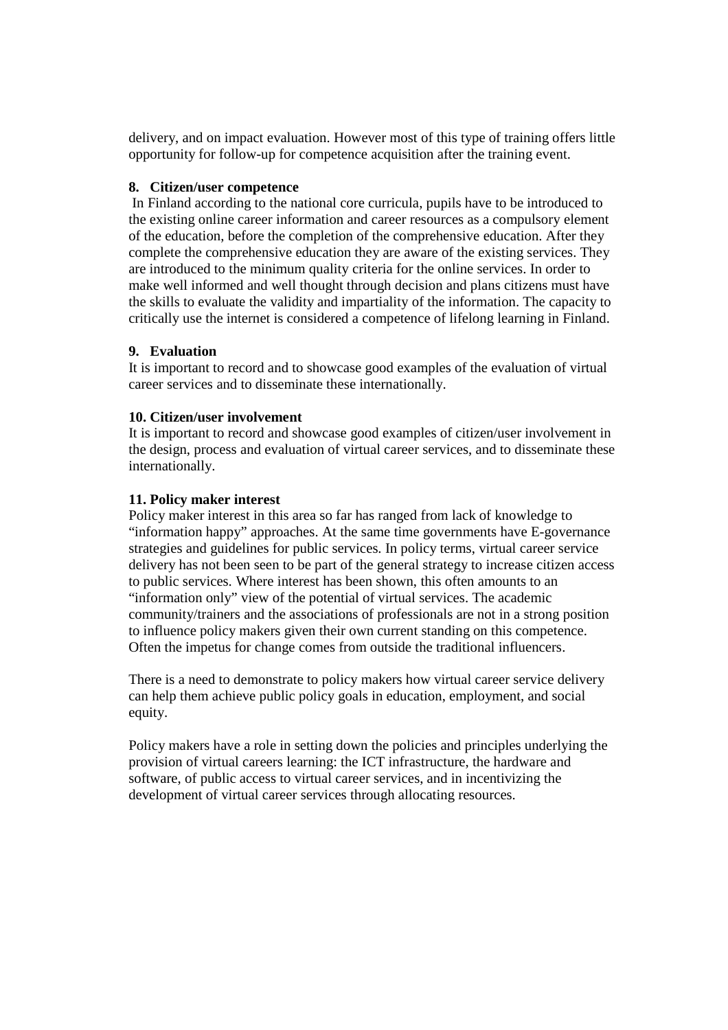delivery, and on impact evaluation. However most of this type of training offers little opportunity for follow-up for competence acquisition after the training event.

## **8. Citizen/user competence**

In Finland according to the national core curricula, pupils have to be introduced to the existing online career information and career resources as a compulsory element of the education, before the completion of the comprehensive education. After they complete the comprehensive education they are aware of the existing services. They are introduced to the minimum quality criteria for the online services. In order to make well informed and well thought through decision and plans citizens must have the skills to evaluate the validity and impartiality of the information. The capacity to critically use the internet is considered a competence of lifelong learning in Finland.

# **9. Evaluation**

It is important to record and to showcase good examples of the evaluation of virtual career services and to disseminate these internationally.

## **10. Citizen/user involvement**

It is important to record and showcase good examples of citizen/user involvement in the design, process and evaluation of virtual career services, and to disseminate these internationally.

## **11. Policy maker interest**

Policy maker interest in this area so far has ranged from lack of knowledge to "information happy" approaches. At the same time governments have E-governance strategies and guidelines for public services. In policy terms, virtual career service delivery has not been seen to be part of the general strategy to increase citizen access to public services. Where interest has been shown, this often amounts to an "information only" view of the potential of virtual services. The academic community/trainers and the associations of professionals are not in a strong position to influence policy makers given their own current standing on this competence. Often the impetus for change comes from outside the traditional influencers.

There is a need to demonstrate to policy makers how virtual career service delivery can help them achieve public policy goals in education, employment, and social equity.

Policy makers have a role in setting down the policies and principles underlying the provision of virtual careers learning: the ICT infrastructure, the hardware and software, of public access to virtual career services, and in incentivizing the development of virtual career services through allocating resources.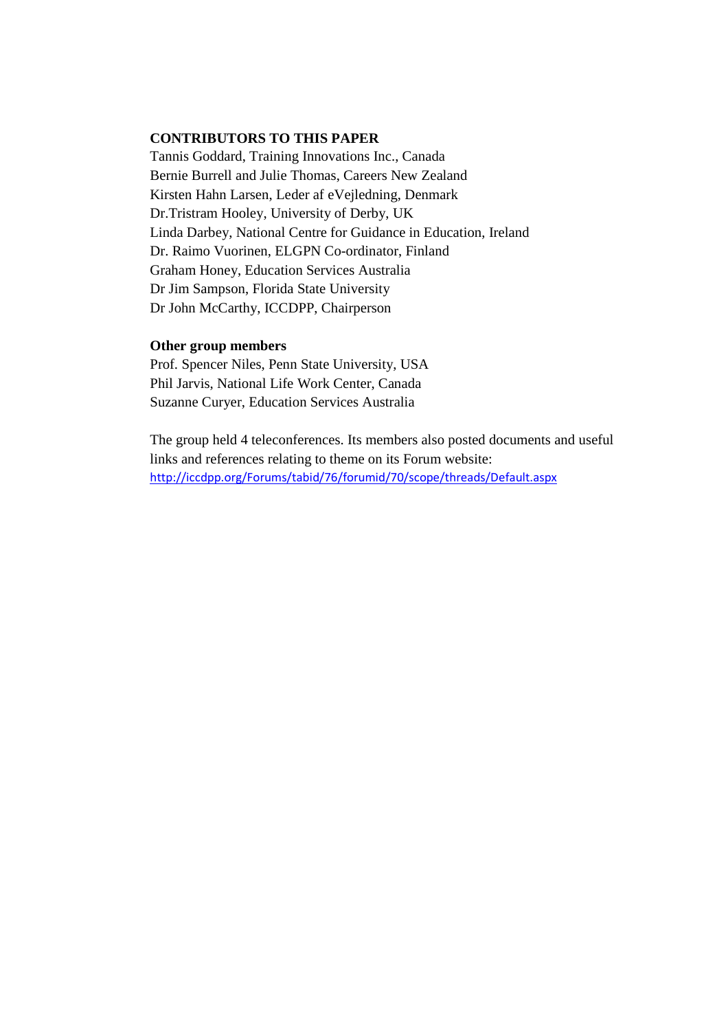#### **CONTRIBUTORS TO THIS PAPER**

Tannis Goddard, Training Innovations Inc., Canada Bernie Burrell and Julie Thomas, Careers New Zealand Kirsten Hahn Larsen, Leder af eVejledning, Denmark Dr.Tristram Hooley, University of Derby, UK Linda Darbey, National Centre for Guidance in Education, Ireland Dr. Raimo Vuorinen, ELGPN Co-ordinator, Finland Graham Honey, Education Services Australia Dr Jim Sampson, Florida State University Dr John McCarthy, ICCDPP, Chairperson

#### **Other group members**

Prof. Spencer Niles, Penn State University, USA Phil Jarvis, National Life Work Center, Canada Suzanne Curyer, Education Services Australia

The group held 4 teleconferences. Its members also posted documents and useful links and references relating to theme on its Forum website: http://iccdpp.org/Forums/tabid/76/forumid/70/scope/threads/Default.aspx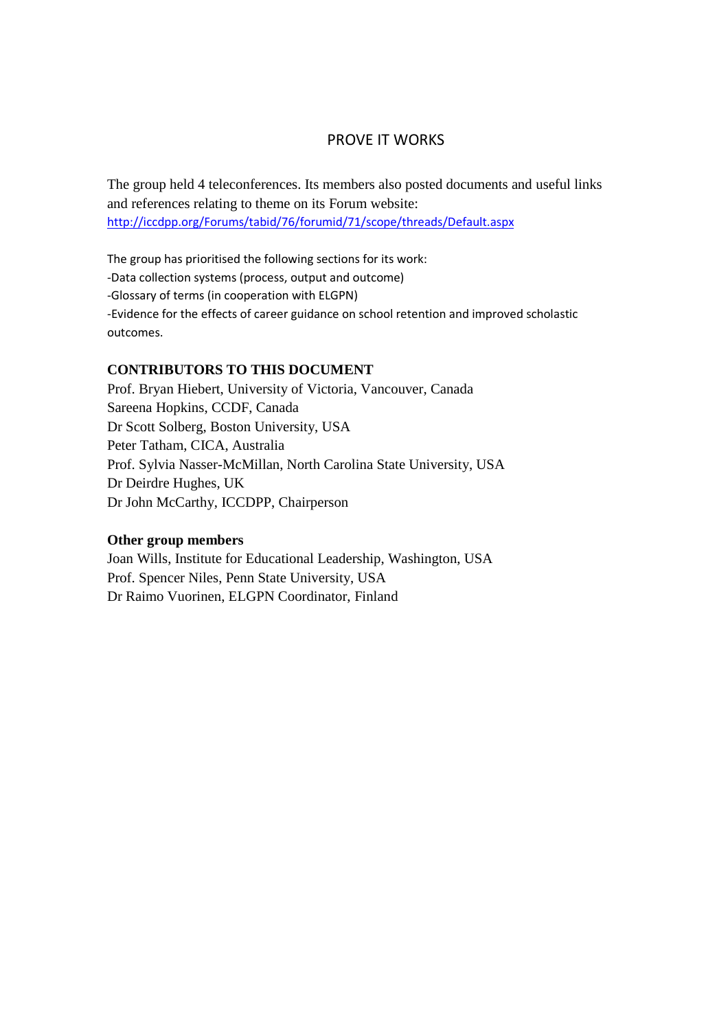# PROVE IT WORKS

The group held 4 teleconferences. Its members also posted documents and useful links and references relating to theme on its Forum website: http://iccdpp.org/Forums/tabid/76/forumid/71/scope/threads/Default.aspx

The group has prioritised the following sections for its work: -Data collection systems (process, output and outcome) -Glossary of terms (in cooperation with ELGPN) -Evidence for the effects of career guidance on school retention and improved scholastic outcomes.

## **CONTRIBUTORS TO THIS DOCUMENT**

Prof. Bryan Hiebert, University of Victoria, Vancouver, Canada Sareena Hopkins, CCDF, Canada Dr Scott Solberg, Boston University, USA Peter Tatham, CICA, Australia Prof. Sylvia Nasser-McMillan, North Carolina State University, USA Dr Deirdre Hughes, UK Dr John McCarthy, ICCDPP, Chairperson

#### **Other group members**

Joan Wills, Institute for Educational Leadership, Washington, USA Prof. Spencer Niles, Penn State University, USA Dr Raimo Vuorinen, ELGPN Coordinator, Finland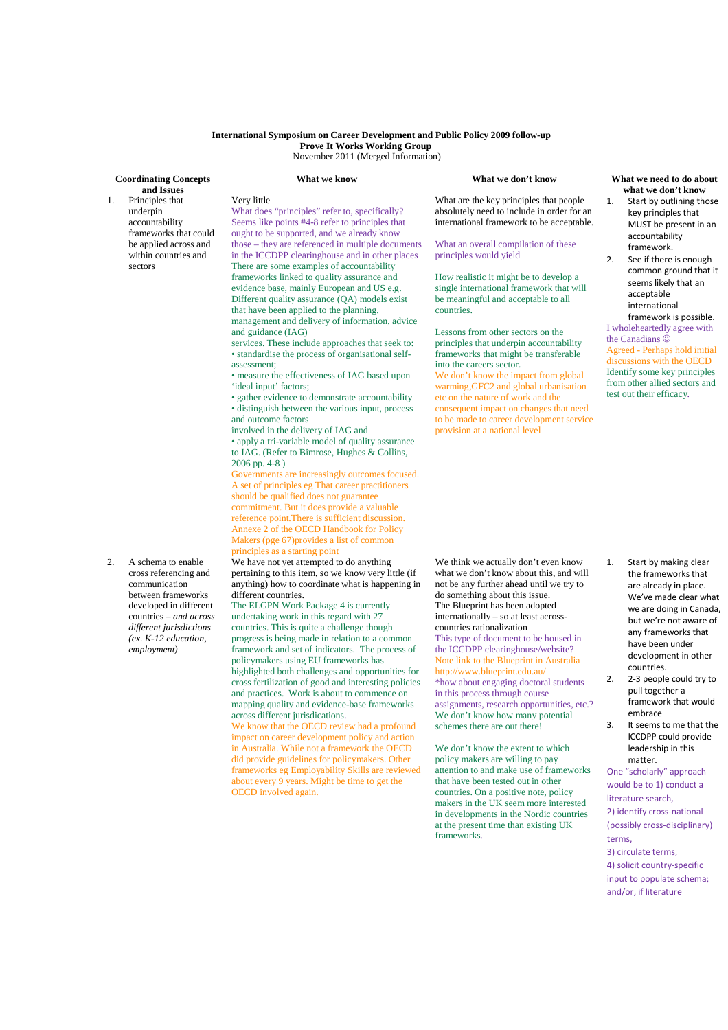#### **International Symposium on Career Development and Public Policy 2009 follow-up Prove It Works Working Group**  November 2011 (Merged Information)

#### **Coordinating Concepts and Issues**

1. Principles that underpin accountability frameworks that could be applied across and within countries and

sectors

What does "principles" refer to, specifically? Seems like points #4-8 refer to principles that ought to be supported, and we already know those – they are referenced in multiple documents in the ICCDPP clearinghouse and in other places There are some examples of accountability frameworks linked to quality assurance and evidence base, mainly European and US e.g. Different quality assurance (QA) models exist that have been applied to the planning, management and delivery of information, advice

services. These include approaches that seek to: • standardise the process of organisational self-

• measure the effectiveness of IAG based upon

• gather evidence to demonstrate accountability • distinguish between the various input, process

• apply a tri-variable model of quality assurance to IAG. (Refer to Bimrose, Hughes & Collins,

Governments are increasingly outcomes focused. A set of principles eg That career practitioners should be qualified does not guarantee commitment. But it does provide a valuable reference point.There is sufficient discussion. Annexe 2 of the OECD Handbook for Policy Makers (pge 67)provides a list of common

involved in the delivery of IAG and

principles as a starting point

different countries.

We have not yet attempted to do anything

The ELGPN Work Package 4 is currently undertaking work in this regard with 27 countries. This is quite a challenge though

policymakers using EU frameworks has

in Australia. While not a framework the OECD did provide guidelines for policymakers. Other frameworks eg Employability Skills are reviewed about every 9 years. Might be time to get the

across different jurisdications.

OECD involved again.

Very little

and guidance (IAG)

'ideal input' factors;

and outcome factors

2006 pp. 4-8 )

assessment;

#### **What we know What we don't know What we need to do about**

What are the key principles that people absolutely need to include in order for an international framework to be acceptable.

#### What an overall compilation of these principles would yield

How realistic it might be to develop a single international framework that will be meaningful and acceptable to all countries.

Lessons from other sectors on the principles that underpin accountability frameworks that might be transferable into the careers sector.

We don't know the impact from global warming,GFC2 and global urbanisation etc on the nature of work and the consequent impact on changes that need to be made to career development service provision at a national level

# **what we don't know**

- 1. Start by outlining those key principles that MUST be present in an accountability framework.
- 2. See if there is enough common ground that it seems likely that an acceptable international framework is possible.

#### I wholeheartedly agree with the Canadians  $\ddot{\odot}$ Agreed - Perhaps hold initial discussions with the OECD Identify some key principles from other allied sectors and test out their efficacy.

2. A schema to enable cross referencing and communication between frameworks developed in different countries – *and across different jurisdictions (ex. K-12 education, employment)*

pertaining to this item, so we know very little (if anything) how to coordinate what is happening in progress is being made in relation to a common framework and set of indicators. The process of highlighted both challenges and opportunities for cross fertilization of good and interesting policies and practices. Work is about to commence on mapping quality and evidence-base frameworks We know that the OECD review had a profound impact on career development policy and action We think we actually don't even know what we don't know about this, and will not be any further ahead until we try to do something about this issue. The Blueprint has been adopted internationally – so at least acrosscountries rationalization This type of document to be housed in the ICCDPP clearinghouse/website? Note link to the Blueprint in Australia http://www.blueprint.edu.au/ \*how about engaging doctoral students in this process through course assignments, research opportunities, etc.? We don't know how many potential schemes there are out there!

We don't know the extent to which policy makers are willing to pay attention to and make use of frameworks that have been tested out in other countries. On a positive note, policy makers in the UK seem more interested in developments in the Nordic countries at the present time than existing UK frameworks.

- 1. Start by making clear the frameworks that are already in place. We've made clear what we are doing in Canada, but we're not aware of any frameworks that have been under development in other countries.
- 2. 2-3 people could try to pull together a framework that would
- embrace 3. It seems to me that the
- ICCDPP could provide leadership in this matter.

One "scholarly" approach would be to 1) conduct a literature search,

2) identify cross-national (possibly cross-disciplinary) terms,

#### 3) circulate terms, 4) solicit country-specific input to populate schema; and/or, if literature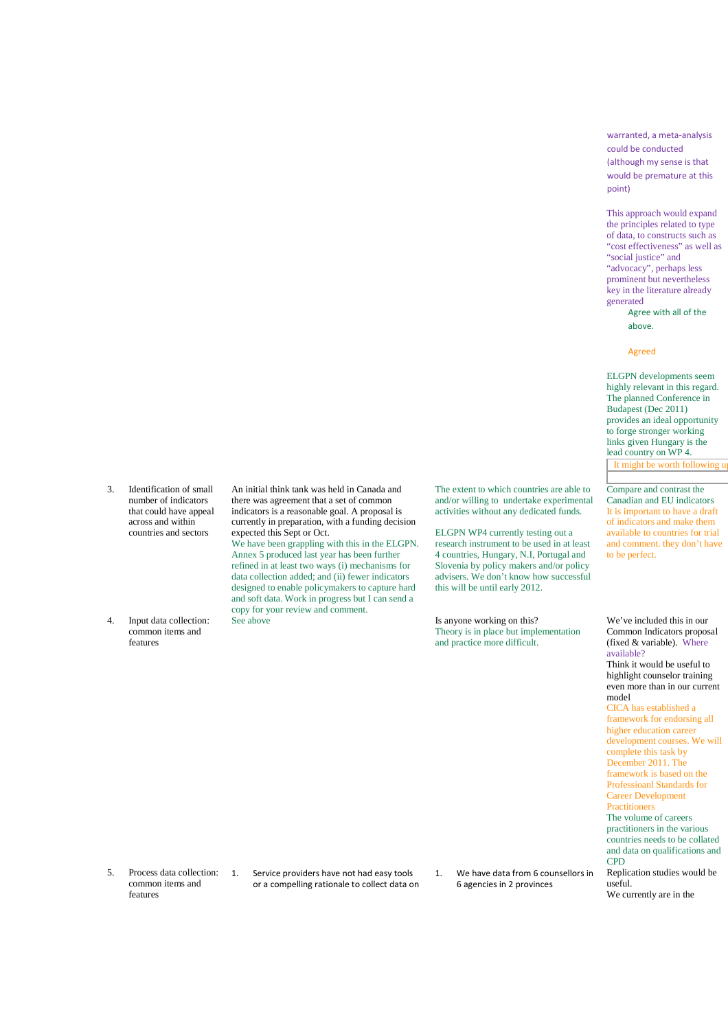warranted, a meta-analysis could be conducted (although my sense is that would be premature at this point)

This approach would expand the principles related to type of data, to constructs such as "cost effectiveness" as well as "social justice" and "advocacy", perhaps less prominent but nevertheless key in the literature already generated

Agree with all of the above.

#### Agreed

ELGPN developments seem highly relevant in this regard. The planned Conference in Budapest (Dec 2011) provides an ideal opportunity to forge stronger working links given Hungary is the lead country on WP 4. It might be worth following  $\overline{u}$ 

Compare and contrast the Canadian and EU indicators It is important to have a draft of indicators and make them available to countries for trial and comment. they don't have to be perfect.

number of indicators that could have appeal across and within countries and sectors

3. Identification of small

4. Input data collection: common items and features

An initial think tank was held in Canada and there was agreement that a set of common indicators is a reasonable goal. A proposal is currently in preparation, with a funding decision expected this Sept or Oct.

We have been grappling with this in the ELGPN. Annex 5 produced last year has been further refined in at least two ways (i) mechanisms for data collection added; and (ii) fewer indicators designed to enable policymakers to capture hard and soft data. Work in progress but I can send a copy for your review and comment.

The extent to which countries are able to and/or willing to undertake experimental activities without any dedicated funds.

ELGPN WP4 currently testing out a research instrument to be used in at least 4 countries, Hungary, N.I, Portugal and Slovenia by policy makers and/or policy advisers. We don't know how successful this will be until early 2012.

Is anyone working on this? Theory is in place but implementation and practice more difficult.

Common Indicators proposal (fixed & variable). Where available? Think it would be useful to highlight counselor training even more than in our current model CICA has established a framework for endorsing all

We've included this in our

higher education career development courses. We will complete this task by December 2011. The framework is based on the Professioanl Standards for Career Development **Practitioners** 

The volume of careers practitioners in the various countries needs to be collated and data on qualifications and CPD

Replication studies would be useful. We currently are in the

5. Process data collection: common items and features

1. Service providers have not had easy tools or a compelling rationale to collect data on 1. We have data from 6 counsellors in 6 agencies in 2 provinces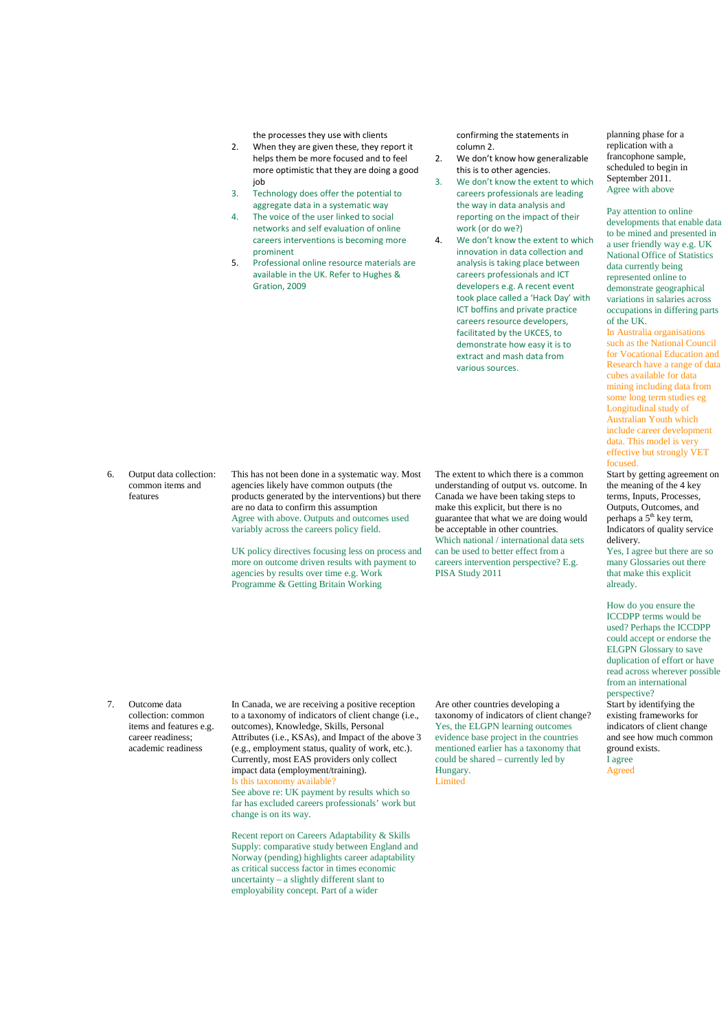the processes they use with clients

- 2. When they are given these, they report it helps them be more focused and to feel more optimistic that they are doing a good job
- 3. Technology does offer the potential to aggregate data in a systematic way
- 4. The voice of the user linked to social networks and self evaluation of online careers interventions is becoming more prominent
- 5. Professional online resource materials are available in the UK. Refer to Hughes & Gration, 2009

confirming the statements in column 2.

- 2. We don't know how generalizable this is to other agencies.
- We don't know the extent to which careers professionals are leading the way in data analysis and reporting on the impact of their work (or do we?)
- 4. We don't know the extent to which innovation in data collection and analysis is taking place between careers professionals and ICT developers e.g. A recent event took place called a 'Hack Day' with ICT boffins and private practice careers resource developers, facilitated by the UKCES, to demonstrate how easy it is to extract and mash data from various sources.

6. Output data collection: common items and features

This has not been done in a systematic way. Most agencies likely have common outputs (the products generated by the interventions) but there are no data to confirm this assumption Agree with above. Outputs and outcomes used variably across the careers policy field.

UK policy directives focusing less on process and more on outcome driven results with payment to agencies by results over time e.g. Work Programme & Getting Britain Working

The extent to which there is a common understanding of output vs. outcome. In Canada we have been taking steps to make this explicit, but there is no guarantee that what we are doing would be acceptable in other countries. Which national / international data sets can be used to better effect from a careers intervention perspective? E.g. PISA Study 2011

7. Outcome data collection: common items and features e.g. career readiness; academic readiness

In Canada, we are receiving a positive reception to a taxonomy of indicators of client change (i.e., outcomes), Knowledge, Skills, Personal Attributes (i.e., KSAs), and Impact of the above 3 (e.g., employment status, quality of work, etc.). Currently, most EAS providers only collect impact data (employment/training). Is this taxonomy available? See above re: UK payment by results which so far has excluded careers professionals' work but change is on its way.

Recent report on Careers Adaptability & Skills Supply: comparative study between England and Norway (pending) highlights career adaptability as critical success factor in times economic uncertainty – a slightly different slant to employability concept. Part of a wider

Are other countries developing a taxonomy of indicators of client change? Yes, the ELGPN learning outcomes evidence base project in the countries mentioned earlier has a taxonomy that could be shared – currently led by Hungary. Limited

planning phase for a replication with a francophone sample, scheduled to begin in September 2011. Agree with above

Pay attention to online developments that enable data to be mined and presented in a user friendly way e.g. UK National Office of Statistics data currently being represented online to demonstrate geographical variations in salaries across occupations in differing parts of the UK.

In Australia organisations such as the National Council for Vocational Education and Research have a range of data cubes available for data mining including data from some long term studies eg Longitudinal study of Australian Youth which include career development data. This model is very effective but strongly VET focused.

Start by getting agreement on the meaning of the 4 key terms, Inputs, Processes, Outputs, Outcomes, and perhaps a 5<sup>th</sup> key term, Indicators of quality service delivery.

Yes, I agree but there are so many Glossaries out there that make this explicit already.

How do you ensure the ICCDPP terms would be used? Perhaps the ICCDPP could accept or endorse the ELGPN Glossary to save duplication of effort or have read across wherever possible from an international perspective?

Start by identifying the existing frameworks for indicators of client change and see how much common ground exists. I agree

Agreed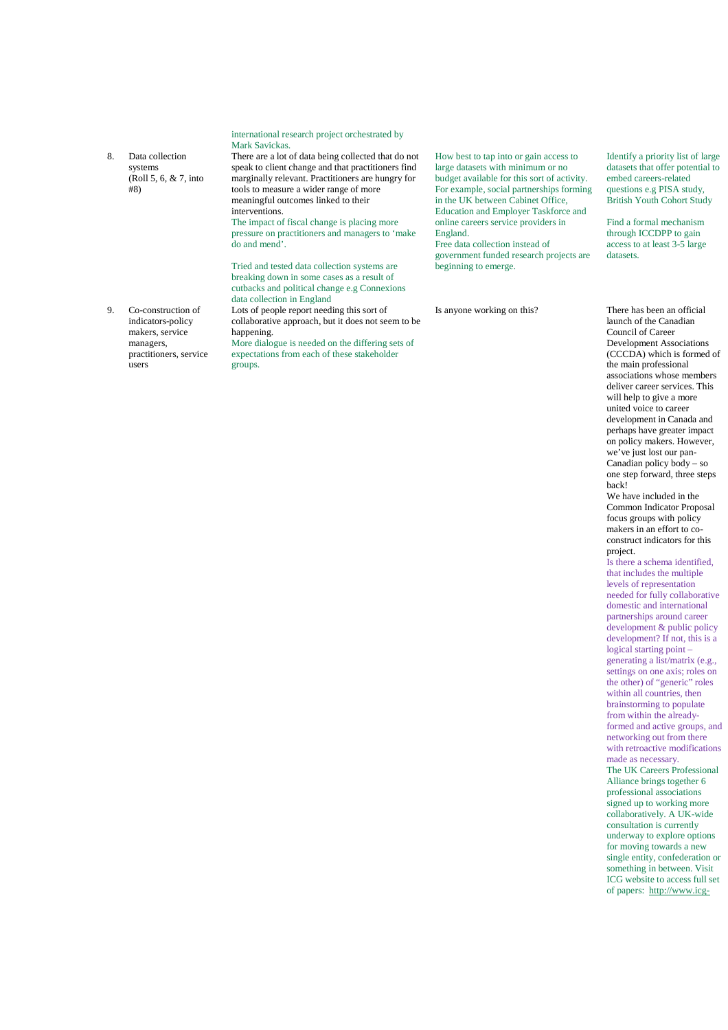|    |                                                                                                   | Mark Savickas.                                                                                                                                                                                                                                                                                                                                                                       |                                                                                                                                                                                                                                                                                                                                           |
|----|---------------------------------------------------------------------------------------------------|--------------------------------------------------------------------------------------------------------------------------------------------------------------------------------------------------------------------------------------------------------------------------------------------------------------------------------------------------------------------------------------|-------------------------------------------------------------------------------------------------------------------------------------------------------------------------------------------------------------------------------------------------------------------------------------------------------------------------------------------|
| 8. | Data collection<br>systems<br>(Roll 5, 6, $& 7$ , into<br>#8)                                     | There are a lot of data being collected that do not<br>speak to client change and that practitioners find<br>marginally relevant. Practitioners are hungry for<br>tools to measure a wider range of more<br>meaningful outcomes linked to their<br>interventions.<br>The impact of fiscal change is placing more<br>pressure on practitioners and managers to 'make<br>do and mend'. | How best to tap into or gain access to<br>large datasets with minimum or no<br>budget available for this sort of activity.<br>For example, social partnerships forming<br>in the UK between Cabinet Office,<br>Education and Employer Taskforce and<br>online careers service providers in<br>England.<br>Free data collection instead of |
|    |                                                                                                   | Tried and tested data collection systems are<br>breaking down in some cases as a result of<br>cutbacks and political change e.g Connexions<br>data collection in England                                                                                                                                                                                                             | government funded research projects are<br>beginning to emerge.                                                                                                                                                                                                                                                                           |
| 9. | Co-construction of<br>indicators-policy<br>makers, service<br>managers,<br>practitioners, service | Lots of people report needing this sort of<br>collaborative approach, but it does not seem to be<br>happening.<br>More dialogue is needed on the differing sets of<br>expectations from each of these stakeholder                                                                                                                                                                    | Is anyone working on this?                                                                                                                                                                                                                                                                                                                |

groups.

users

international research project orchestrated by

Identify a priority list of large datasets that offer potential to embed careers-related questions e.g PISA study, British Youth Cohort Study

Find a formal mechanism through ICCDPP to gain access to at least 3-5 large datasets.

There has been an official launch of the Canadian Council of Career Development Associations (CCCDA) which is formed of the main professional associations whose members deliver career services. This will help to give a more united voice to career development in Canada and perhaps have greater impact on policy makers. However, we've just lost our pan-Canadian policy  $\text{body} - \text{so}$ one step forward, three steps back!

We have included in the Common Indicator Proposal focus groups with policy makers in an effort to coconstruct indicators for this project.

Is there a schema identified, that includes the multiple levels of representation needed for fully collaborative domestic and international partnerships around career development & public policy development? If not, this is a logical starting point – generating a list/matrix (e.g., settings on one axis; roles on the other) of "generic" roles within all countries, then brainstorming to populate from within the alreadyformed and active groups, and networking out from there with retroactive modifications made as necessary. The UK Careers Professional

Alliance brings together 6 professional associations signed up to working more collaboratively. A UK-wide consultation is currently underway to explore options for moving towards a new single entity, confederation or something in between. Visit ICG website to access full set of papers: http://www.icg-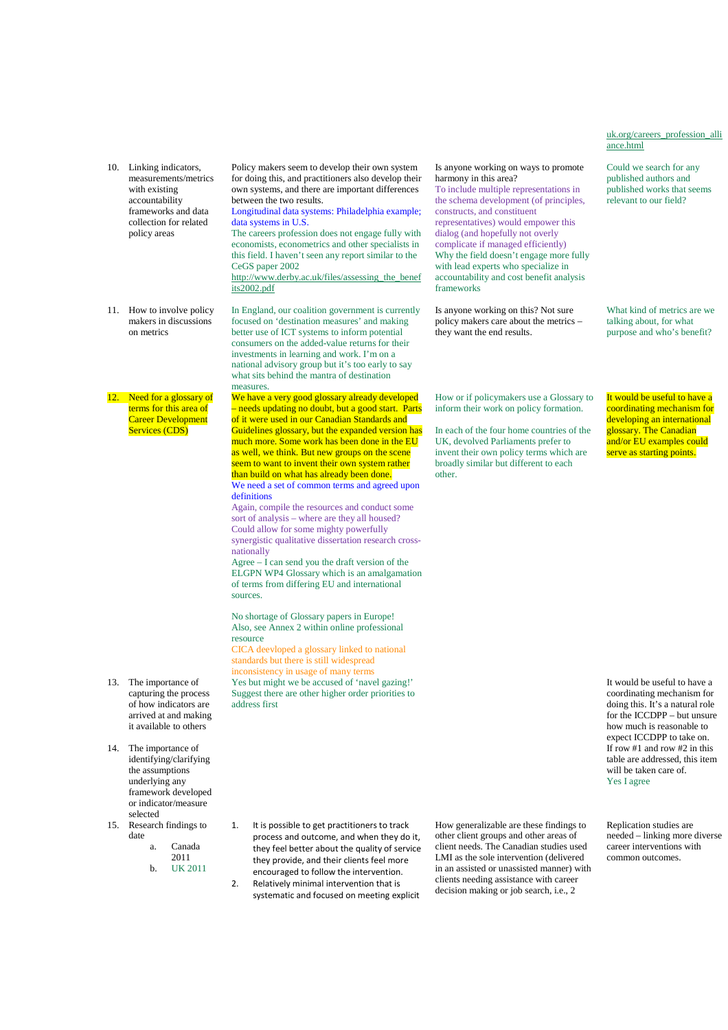#### uk.org/careers\_profession\_alli ance.html

Could we search for any published authors and published works that seems relevant to our field?

What kind of metrics are we

It would be useful to have a coordinating mechanism for developing an international glossary. The Canadian and/or EU examples could serve as starting points.

It would be useful to have a coordinating mechanism for doing this. It's a natural role for the ICCDPP – but unsure how much is reasonable to expect ICCDPP to take on. If row #1 and row #2 in this table are addressed, this item will be taken care of. Yes I agree

Replication studies are needed – linking more diverse career interventions with common outcomes.

|                                                                                                                                                                              | http://www.derby.ac.uk/files/assessing_the_benef<br>its2002.pdf                                                                                                                                                                                                                                                                                                                                                                                                                                                                                                                                                                                                                                                                                                                                                                                               | accountability and cost benefit analysis<br>frameworks                                                                                                                                                                                                                                                  |
|------------------------------------------------------------------------------------------------------------------------------------------------------------------------------|---------------------------------------------------------------------------------------------------------------------------------------------------------------------------------------------------------------------------------------------------------------------------------------------------------------------------------------------------------------------------------------------------------------------------------------------------------------------------------------------------------------------------------------------------------------------------------------------------------------------------------------------------------------------------------------------------------------------------------------------------------------------------------------------------------------------------------------------------------------|---------------------------------------------------------------------------------------------------------------------------------------------------------------------------------------------------------------------------------------------------------------------------------------------------------|
| How to involve policy<br>makers in discussions<br>on metrics                                                                                                                 | In England, our coalition government is currently<br>focused on 'destination measures' and making<br>better use of ICT systems to inform potential<br>consumers on the added-value returns for their<br>investments in learning and work. I'm on a<br>national advisory group but it's too early to say<br>what sits behind the mantra of destination<br>measures.                                                                                                                                                                                                                                                                                                                                                                                                                                                                                            | Is anyone working on this? Not sure<br>policy makers care about the metrics –<br>they want the end results.                                                                                                                                                                                             |
| Need for a glossary of<br>terms for this area of<br><b>Career Development</b><br><b>Services (CDS)</b>                                                                       | We have a very good glossary already developed<br>- needs updating no doubt, but a good start. Parts<br>of it were used in our Canadian Standards and<br>Guidelines glossary, but the expanded version has<br>much more. Some work has been done in the EU<br>as well, we think. But new groups on the scene<br>seem to want to invent their own system rather<br>than build on what has already been done.<br>We need a set of common terms and agreed upon<br>definitions<br>Again, compile the resources and conduct some<br>sort of analysis – where are they all housed?<br>Could allow for some mighty powerfully<br>synergistic qualitative dissertation research cross-<br>nationally<br>Agree $-$ I can send you the draft version of the<br>ELGPN WP4 Glossary which is an amalgamation<br>of terms from differing EU and international<br>sources. | How or if policymakers use a Glossary<br>inform their work on policy formation.<br>In each of the four home countries of the<br>UK, devolved Parliaments prefer to<br>invent their own policy terms which are<br>broadly similar but different to each<br>other.                                        |
| The importance of<br>capturing the process<br>of how indicators are<br>arrived at and making<br>it available to others<br>The importance of<br>identifying/clarifying        | No shortage of Glossary papers in Europe!<br>Also, see Annex 2 within online professional<br>resource<br>CICA deevloped a glossary linked to national<br>standards but there is still widespread<br>inconsistency in usage of many terms<br>Yes but might we be accused of 'navel gazing!'<br>Suggest there are other higher order priorities to<br>address first                                                                                                                                                                                                                                                                                                                                                                                                                                                                                             |                                                                                                                                                                                                                                                                                                         |
| the assumptions<br>underlying any<br>framework developed<br>or indicator/measure<br>selected<br>Research findings to<br>date<br>Canada<br>a.<br>2011<br><b>UK 2011</b><br>b. | 1.<br>It is possible to get practitioners to track<br>process and outcome, and when they do it,<br>they feel better about the quality of service<br>they provide, and their clients feel more<br>encouraged to follow the intervention.<br>2.<br>Relatively minimal intervention that is<br>systematic and focused on meeting explicit                                                                                                                                                                                                                                                                                                                                                                                                                                                                                                                        | How generalizable are these findings to<br>other client groups and other areas of<br>client needs. The Canadian studies used<br>LMI as the sole intervention (delivered<br>in an assisted or unassisted manner) wit<br>clients needing assistance with career<br>decision making or job search, i.e., 2 |
|                                                                                                                                                                              |                                                                                                                                                                                                                                                                                                                                                                                                                                                                                                                                                                                                                                                                                                                                                                                                                                                               |                                                                                                                                                                                                                                                                                                         |

Policy makers seem to develop their own system for doing this, and practitioners also develop their own systems, and there are important differences

Longitudinal data systems: Philadelphia example;

The careers profession does not engage fully with economists, econometrics and other specialists in this field. I haven't seen any report similar to the

between the two results.

data systems in U.S.

CeGS paper 2002

arriv it ava 14. The  $i$ 

13. The i

10. Linking indicators, measurements/metrics with existing accountability frameworks and data collection for related policy areas

 $11.$  How

 $12.$  Need

- ident the a unde frame or ind select
- 15. Resea date
	-
	-

talking about, for what purpose and who's benefit?

v or if policymakers use a Glossary to brm their work on policy formation.

Is anyone working on ways to promote

representatives) would empower this dialog (and hopefully not overly complicate if managed efficiently) Why the field doesn't engage more fully with lead experts who specialize in

harmony in this area?

ach of the four home countries of the devolved Parliaments prefer to ent their own policy terms which are adly similar but different to each  $er.$ 

#### To include multiple representations in the schema development (of principles, constructs, and constituent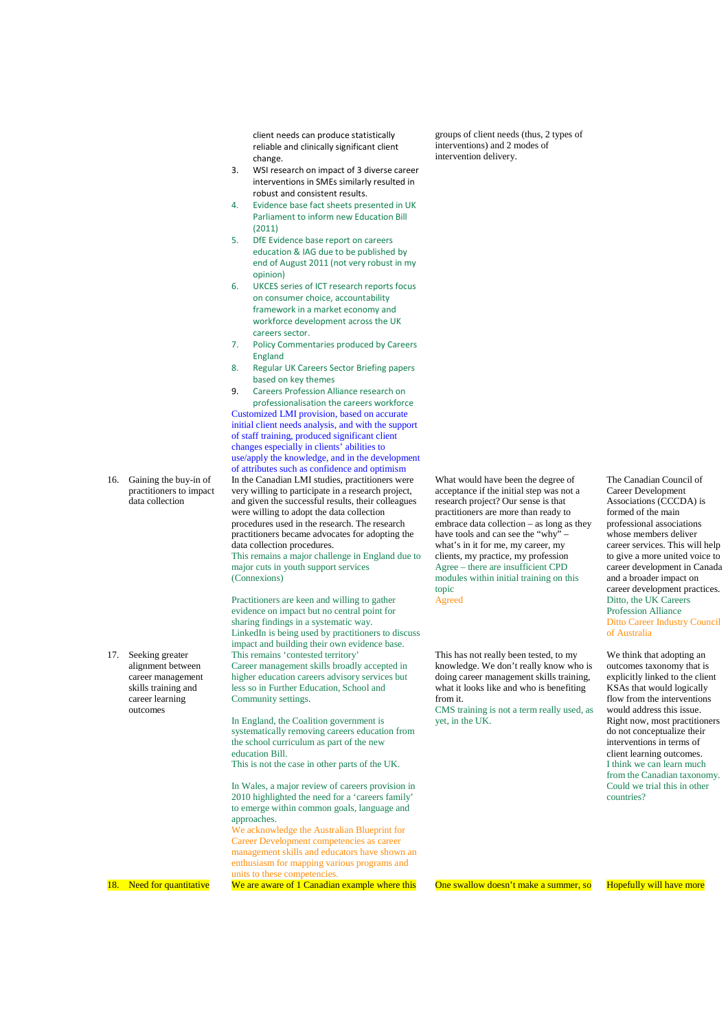client needs can produce statistically reliable and clinically significant client change.

- 3. WSI research on impact of 3 diverse career interventions in SMEs similarly resulted in robust and consistent results.
- 4. Evidence base fact sheets presented in UK Parliament to inform new Education Bill  $(2011)$
- 5. DfE Evidence base report on careers education & IAG due to be published by end of August 2011 (not very robust in my opinion)
- 6. UKCES series of ICT research reports focus on consumer choice, accountability framework in a market economy and workforce development across the UK careers sector.
- 7. Policy Commentaries produced by Careers England
- 8. Regular UK Careers Sector Briefing papers based on key themes

9. Careers Profession Alliance research on professionalisation the careers workforce Customized LMI provision, based on accurate initial client needs analysis, and with the support of staff training, produced significant client changes especially in clients' abilities to use/apply the knowledge, and in the development of attributes such as confidence and optimism In the Canadian LMI studies, practitioners were very willing to participate in a research project, and given the successful results, their colleagues were willing to adopt the data collection procedures used in the research. The research practitioners became advocates for adopting the data collection procedures. This remains a major challenge in England due to major cuts in youth support services

(Connexions)

Practitioners are keen and willing to gather evidence on impact but no central point for sharing findings in a systematic way. LinkedIn is being used by practitioners to discuss impact and building their own evidence base. This remains 'contested territory' Career management skills broadly accepted in higher education careers advisory services but less so in Further Education, School and Community settings.

In England, the Coalition government is systematically removing careers education from the school curriculum as part of the new education Bill. This is not the case in other parts of the UK.

In Wales, a major review of careers provision in 2010 highlighted the need for a 'careers family' to emerge within common goals, language and approaches.

We acknowledge the Australian Blueprint for Career Development competencies as career management skills and educators have shown an enthusiasm for mapping various programs and units to these competencies

What would have been the degree of acceptance if the initial step was not a research project? Our sense is that practitioners are more than ready to embrace data collection – as long as they have tools and can see the "why" – what's in it for me, my career, my clients, my practice, my profession Agree – there are insufficient CPD modules within initial training on this topic Agreed

groups of client needs (thus, 2 types of interventions) and 2 modes of intervention delivery.

This has not really been tested, to my knowledge. We don't really know who is doing career management skills training, what it looks like and who is benefiting from it.

CMS training is not a term really used, as yet, in the UK.

The Canadian Council of Career Development Associations (CCCDA) is formed of the main professional associations whose members deliver career services. This will help to give a more united voice to career development in Canada and a broader impact on career development practices. Ditto, the UK Careers Profession Alliance Ditto Career Industry Council of Australia

We think that adopting an outcomes taxonomy that is explicitly linked to the client KSAs that would logically flow from the interventions would address this issue. Right now, most practitioners do not conceptualize their interventions in terms of client learning outcomes. I think we can learn much from the Canadian taxonomy. Could we trial this in other countries?

18. Need for quantitative We are aware of 1 Canadian example where this One swallow doesn't make a summer, so Hopefully will have more

17. Seeking greater alignment between career management skills training and career learning outcomes

16. Gaining the buy-in of practitioners to impact data collection